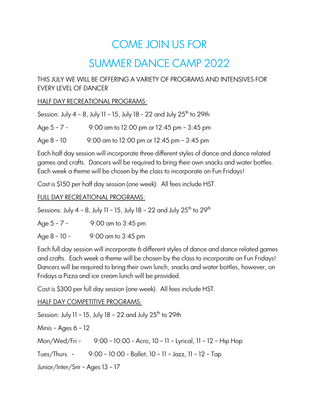# COME JOIN US FOR

# SUMMER DANCE CAMP 2022

# THIS JULY WE WILL BE OFFERING A VARIETY OF PROGRAMS AND INTENSIVES FOR EVERY LEVEL OF DANCER

#### HALF DAY RECREATIONAL PROGRAMS:

|               | Session: July $4 - 8$ , July 11 - 15, July 18 - 22 and July 25 <sup>th</sup> to 29th |
|---------------|--------------------------------------------------------------------------------------|
| Age $5 - 7 -$ | 9:00 am to 12:00 pm or 12:45 pm - 3:45 pm                                            |

Age 8 – 10 9:00 am to 12:00 pm or 12:45 pm – 3:45 pm

Each half day session will incorporate three different styles of dance and dance related games and crafts. Dancers will be required to bring their own snacks and water bottles. Each week a theme will be chosen by the class to incorporate on Fun Fridays!

Cost is \$150 per half day session (one week). All fees include HST.

# FULL DAY RECREATIONAL PROGRAMS:

Sessions: July  $4 - 8$ , July 11 – 15, July 18 – 22 and July 25<sup>th</sup> to 29<sup>th</sup>

- Age 5 7 9:00 am to 3:45 pm
- Age  $8 10 -$  9:00 am to 3:45 pm

Each full day session will incorporate 6 different styles of dance and dance related games and crafts. Each week a theme will be chosen by the class to incorporate on Fun Fridays! Dancers will be required to bring their own lunch, snacks and water bottles, however, on Fridays a Pizza and ice cream lunch will be provided.

Cost is \$300 per full day session (one week). All fees include HST.

# HALF DAY COMPETITIVE PROGRAMS:

Session: July 11 - 15, July 18 - 22 and July  $25<sup>th</sup>$  to  $29th$ Minis – Ages  $6 - 12$ Mon/Wed/Fri - 9:00 – 10:00 - Acro, 10 – 11 – Lyrical, 11 – 12 – Hip Hop Tues/Thurs - 9:00 – 10:00 - Ballet, 10 – 11 – Jazz, 11 – 12 – Tap Junior/Inter/Snr – Ages 13 – 17